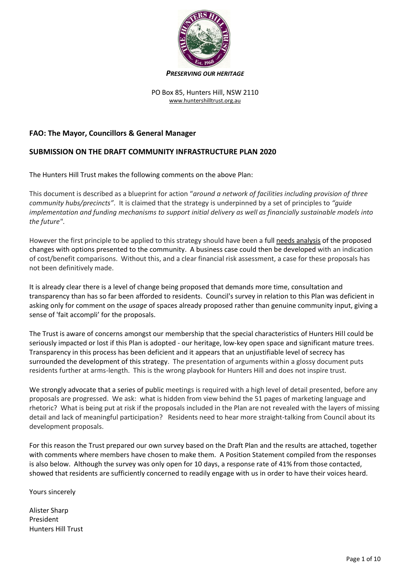

*PRESERVING OUR HERITAGE*

PO Box 85, Hunters Hill, NSW 2110 [www.huntershilltrust.org.au](http://www.huntershilltrust.org.au/)

# **FAO: The Mayor, Councillors & General Manager**

# **SUBMISSION ON THE DRAFT COMMUNITY INFRASTRUCTURE PLAN 2020**

The Hunters Hill Trust makes the following comments on the above Plan:

This document is described as a blueprint for action "*around a network of facilities including provision of three community hubs/precincts"*. It is claimed that the strategy is underpinned by a set of principles to *"guide implementation and funding mechanisms to support initial delivery as well as financially sustainable models into the future"*.

However the first principle to be applied to this strategy should have been a full needs analysis of the proposed changes with options presented to the community. A business case could then be developed with an indication of cost/benefit comparisons. Without this, and a clear financial risk assessment, a case for these proposals has not been definitively made.

It is already clear there is a level of change being proposed that demands more time, consultation and transparency than has so far been afforded to residents. Council's survey in relation to this Plan was deficient in asking only for comment on the *usage* of spaces already proposed rather than genuine community input, giving a sense of 'fait accompli' for the proposals.

The Trust is aware of concerns amongst our membership that the special characteristics of Hunters Hill could be seriously impacted or lost if this Plan is adopted - our heritage, low-key open space and significant mature trees. Transparency in this process has been deficient and it appears that an unjustifiable level of secrecy has surrounded the development of this strategy. The presentation of arguments within a glossy document puts residents further at arms-length. This is the wrong playbook for Hunters Hill and does not inspire trust.

We strongly advocate that a series of public meetings is required with a high level of detail presented, before any proposals are progressed. We ask: what is hidden from view behind the 51 pages of marketing language and rhetoric? What is being put at risk if the proposals included in the Plan are not revealed with the layers of missing detail and lack of meaningful participation? Residents need to hear more straight-talking from Council about its development proposals.

For this reason the Trust prepared our own survey based on the Draft Plan and the results are attached, together with comments where members have chosen to make them. A Position Statement compiled from the responses is also below. Although the survey was only open for 10 days, a response rate of 41% from those contacted, showed that residents are sufficiently concerned to readily engage with us in order to have their voices heard.

Yours sincerely

Alister Sharp President Hunters Hill Trust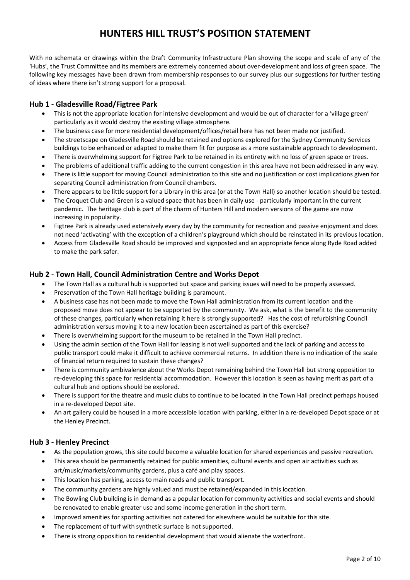# **HUNTERS HILL TRUST'S POSITION STATEMENT**

With no schemata or drawings within the Draft Community Infrastructure Plan showing the scope and scale of any of the 'Hubs', the Trust Committee and its members are extremely concerned about over-development and loss of green space. The following key messages have been drawn from membership responses to our survey plus our suggestions for further testing of ideas where there isn't strong support for a proposal.

### **Hub 1 - Gladesville Road/Figtree Park**

- This is not the appropriate location for intensive development and would be out of character for a 'village green' particularly as it would destroy the existing village atmosphere.
- The business case for more residential development/offices/retail here has not been made nor justified.
- The streetscape on Gladesville Road should be retained and options explored for the Sydney Community Services buildings to be enhanced or adapted to make them fit for purpose as a more sustainable approach to development.
- There is overwhelming support for Figtree Park to be retained in its entirety with no loss of green space or trees.
- The problems of additional traffic adding to the current congestion in this area have not been addressed in any way.
- There is little support for moving Council administration to this site and no justification or cost implications given for separating Council administration from Council chambers.
- There appears to be little support for a Library in this area (or at the Town Hall) so another location should be tested.
- The Croquet Club and Green is a valued space that has been in daily use particularly important in the current pandemic. The heritage club is part of the charm of Hunters Hill and modern versions of the game are now increasing in popularity.
- Figtree Park is already used extensively every day by the community for recreation and passive enjoyment and does not need 'activating' with the exception of a children's playground which should be reinstated in its previous location.
- Access from Gladesville Road should be improved and signposted and an appropriate fence along Ryde Road added to make the park safer.

### **Hub 2 - Town Hall, Council Administration Centre and Works Depot**

- The Town Hall as a cultural hub is supported but space and parking issues will need to be properly assessed.
- Preservation of the Town Hall heritage building is paramount.
- A business case has not been made to move the Town Hall administration from its current location and the proposed move does not appear to be supported by the community. We ask, what is the benefit to the community of these changes, particularly when retaining it here is strongly supported? Has the cost of refurbishing Council administration versus moving it to a new location been ascertained as part of this exercise?
- There is overwhelming support for the museum to be retained in the Town Hall precinct.
- Using the admin section of the Town Hall for leasing is not well supported and the lack of parking and access to public transport could make it difficult to achieve commercial returns. In addition there is no indication of the scale of financial return required to sustain these changes?
- There is community ambivalence about the Works Depot remaining behind the Town Hall but strong opposition to re-developing this space for residential accommodation. However this location is seen as having merit as part of a cultural hub and options should be explored.
- There is support for the theatre and music clubs to continue to be located in the Town Hall precinct perhaps housed in a re-developed Depot site.
- An art gallery could be housed in a more accessible location with parking, either in a re-developed Depot space or at the Henley Precinct.

### **Hub 3 - Henley Precinct**

- As the population grows, this site could become a valuable location for shared experiences and passive recreation.
- This area should be permanently retained for public amenities, cultural events and open air activities such as art/music/markets/community gardens, plus a café and play spaces.
- This location has parking, access to main roads and public transport.
- The community gardens are highly valued and must be retained/expanded in this location.
- The Bowling Club building is in demand as a popular location for community activities and social events and should be renovated to enable greater use and some income generation in the short term.
- Improved amenities for sporting activities not catered for elsewhere would be suitable for this site.
- The replacement of turf with synthetic surface is not supported.
- There is strong opposition to residential development that would alienate the waterfront.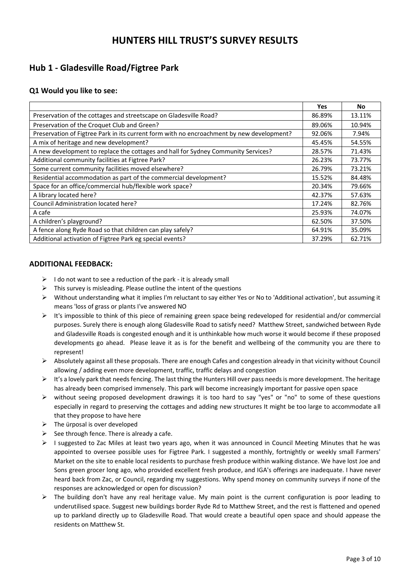# **HUNTERS HILL TRUST'S SURVEY RESULTS**

# **Hub 1 - Gladesville Road/Figtree Park**

## **Q1 Would you like to see:**

|                                                                                           | <b>Yes</b> | No     |
|-------------------------------------------------------------------------------------------|------------|--------|
| Preservation of the cottages and streetscape on Gladesville Road?                         | 86.89%     | 13.11% |
| Preservation of the Croquet Club and Green?                                               | 89.06%     | 10.94% |
| Preservation of Figtree Park in its current form with no encroachment by new development? | 92.06%     | 7.94%  |
| A mix of heritage and new development?                                                    | 45.45%     | 54.55% |
| A new development to replace the cottages and hall for Sydney Community Services?         | 28.57%     | 71.43% |
| Additional community facilities at Figtree Park?                                          | 26.23%     | 73.77% |
| Some current community facilities moved elsewhere?                                        | 26.79%     | 73.21% |
| Residential accommodation as part of the commercial development?                          | 15.52%     | 84.48% |
| Space for an office/commercial hub/flexible work space?                                   | 20.34%     | 79.66% |
| A library located here?                                                                   | 42.37%     | 57.63% |
| Council Administration located here?                                                      | 17.24%     | 82.76% |
| A cafe                                                                                    | 25.93%     | 74.07% |
| A children's playground?                                                                  | 62.50%     | 37.50% |
| A fence along Ryde Road so that children can play safely?                                 | 64.91%     | 35.09% |
| Additional activation of Figtree Park eg special events?                                  | 37.29%     | 62.71% |

### **ADDITIONAL FEEDBACK:**

- $\triangleright$  I do not want to see a reduction of the park it is already small
- $\triangleright$  This survey is misleading. Please outline the intent of the questions
- $\triangleright$  Without understanding what it implies I'm reluctant to say either Yes or No to 'Additional activation', but assuming it means 'loss of grass or plants I've answered NO
- $\triangleright$  It's impossible to think of this piece of remaining green space being redeveloped for residential and/or commercial purposes. Surely there is enough along Gladesville Road to satisfy need? Matthew Street, sandwiched between Ryde and Gladesville Roads is congested enough and it is unthinkable how much worse it would become if these proposed developments go ahead. Please leave it as is for the benefit and wellbeing of the community you are there to represent!
- $\triangleright$  Absolutely against all these proposals. There are enough Cafes and congestion already in that vicinity without Council allowing / adding even more development, traffic, traffic delays and congestion
- $\triangleright$  It's a lovely park that needs fencing. The last thing the Hunters Hill over pass needs is more development. The heritage has already been comprised immensely. This park will become increasingly important for passive open space
- without seeing proposed development drawings it is too hard to say "yes" or "no" to some of these questions especially in regard to preserving the cottages and adding new structures It might be too large to accommodate all that they propose to have here
- $\triangleright$  The ürposal is over developed
- $\triangleright$  See through fence. There is already a cafe.
- $\triangleright$  I suggested to Zac Miles at least two years ago, when it was announced in Council Meeting Minutes that he was appointed to oversee possible uses for Figtree Park. I suggested a monthly, fortnightly or weekly small Farmers' Market on the site to enable local residents to purchase fresh produce within walking distance. We have lost Joe and Sons green grocer long ago, who provided excellent fresh produce, and IGA's offerings are inadequate. I have never heard back from Zac, or Council, regarding my suggestions. Why spend money on community surveys if none of the responses are acknowledged or open for discussion?
- $\triangleright$  The building don't have any real heritage value. My main point is the current configuration is poor leading to underutilised space. Suggest new buildings border Ryde Rd to Matthew Street, and the rest is flattened and opened up to parkland directly up to Gladesville Road. That would create a beautiful open space and should appease the residents on Matthew St.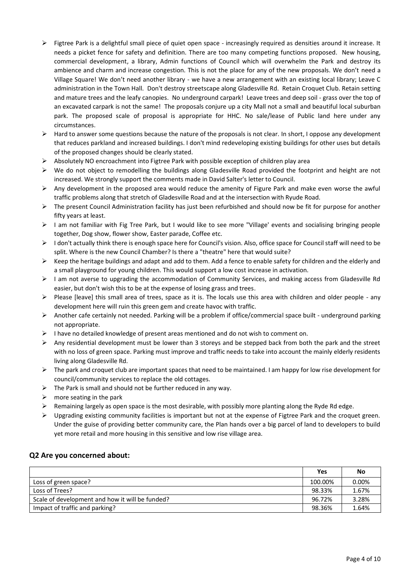- $\triangleright$  Figtree Park is a delightful small piece of quiet open space increasingly required as densities around it increase. It needs a picket fence for safety and definition. There are too many competing functions proposed. New housing, commercial development, a library, Admin functions of Council which will overwhelm the Park and destroy its ambience and charm and increase congestion. This is not the place for any of the new proposals. We don't need a Village Square! We don't need another library - we have a new arrangement with an existing local library; Leave C administration in the Town Hall. Don't destroy streetscape along Gladesville Rd. Retain Croquet Club. Retain setting and mature trees and the leafy canopies. No underground carpark! Leave trees and deep soil - grass over the top of an excavated carpark is not the same! The proposals conjure up a city Mall not a small and beautiful local suburban park. The proposed scale of proposal is appropriate for HHC. No sale/lease of Public land here under any circumstances.
- $\triangleright$  Hard to answer some questions because the nature of the proposals is not clear. In short, I oppose any development that reduces parkland and increased buildings. I don't mind redeveloping existing buildings for other uses but details of the proposed changes should be clearly stated.
- $\triangleright$  Absolutely NO encroachment into Figtree Park with possible exception of children play area
- $\triangleright$  We do not object to remodelling the buildings along Gladesville Road provided the footprint and height are not increased. We strongly support the comments made in David Salter's letter to Council.
- $\triangleright$  Any development in the proposed area would reduce the amenity of Figure Park and make even worse the awful traffic problems along that stretch of Gladesville Road and at the intersection with Ryude Road.
- $\triangleright$  The present Council Administration facility has just been refurbished and should now be fit for purpose for another fifty years at least.
- $\triangleright$  I am not familiar with Fig Tree Park, but I would like to see more "Village' events and socialising bringing people together, Dog show, flower show, Easter parade, Coffee etc.
- ▶ I don't actually think there is enough space here for Council's vision. Also, office space for Council staff will need to be split. Where is the new Council Chamber? Is there a "theatre" here that would suite?
- $\triangleright$  Keep the heritage buildings and adapt and add to them. Add a fence to enable safety for children and the elderly and a small playground for young children. This would support a low cost increase in activation.
- $\triangleright$  I am not averse to upgrading the accommodation of Community Services, and making access from Gladesville Rd easier, but don't wish this to be at the expense of losing grass and trees.
- $\triangleright$  Please [leave] this small area of trees, space as it is. The locals use this area with children and older people any development here will ruin this green gem and create havoc with traffic.
- Another cafe certainly not needed. Parking will be a problem if office/commercial space built underground parking not appropriate.
- $\triangleright$  I have no detailed knowledge of present areas mentioned and do not wish to comment on.
- $\triangleright$  Any residential development must be lower than 3 storeys and be stepped back from both the park and the street with no loss of green space. Parking must improve and traffic needs to take into account the mainly elderly residents living along Gladesville Rd.
- $\triangleright$  The park and croquet club are important spaces that need to be maintained. I am happy for low rise development for council/community services to replace the old cottages.
- $\triangleright$  The Park is small and should not be further reduced in any way.
- $\triangleright$  more seating in the park
- $\triangleright$  Remaining largely as open space is the most desirable, with possibly more planting along the Ryde Rd edge.
- $\triangleright$  Upgrading existing community facilities is important but not at the expense of Figtree Park and the croquet green. Under the guise of providing better community care, the Plan hands over a big parcel of land to developers to build yet more retail and more housing in this sensitive and low rise village area.

### **Q2 Are you concerned about:**

|                                                 | Yes     | No    |
|-------------------------------------------------|---------|-------|
| Loss of green space?                            | 100.00% | 0.00% |
| Loss of Trees?                                  | 98.33%  | 1.67% |
| Scale of development and how it will be funded? | 96.72%  | 3.28% |
| Impact of traffic and parking?                  | 98.36%  | 1.64% |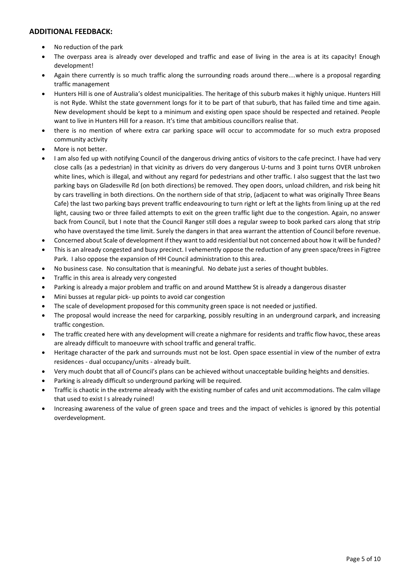### **ADDITIONAL FEEDBACK:**

- No reduction of the park
- The overpass area is already over developed and traffic and ease of living in the area is at its capacity! Enough development!
- Again there currently is so much traffic along the surrounding roads around there....where is a proposal regarding traffic management
- Hunters Hill is one of Australia's oldest municipalities. The heritage of this suburb makes it highly unique. Hunters Hill is not Ryde. Whilst the state government longs for it to be part of that suburb, that has failed time and time again. New development should be kept to a minimum and existing open space should be respected and retained. People want to live in Hunters Hill for a reason. It's time that ambitious councillors realise that.
- there is no mention of where extra car parking space will occur to accommodate for so much extra proposed community activity
- More is not better.
- I am also fed up with notifying Council of the dangerous driving antics of visitors to the cafe precinct. I have had very close calls (as a pedestrian) in that vicinity as drivers do very dangerous U-turns and 3 point turns OVER unbroken white lines, which is illegal, and without any regard for pedestrians and other traffic. I also suggest that the last two parking bays on Gladesville Rd (on both directions) be removed. They open doors, unload children, and risk being hit by cars travelling in both directions. On the northern side of that strip, (adjacent to what was originally Three Beans Cafe) the last two parking bays prevent traffic endeavouring to turn right or left at the lights from lining up at the red light, causing two or three failed attempts to exit on the green traffic light due to the congestion. Again, no answer back from Council, but I note that the Council Ranger still does a regular sweep to book parked cars along that strip who have overstayed the time limit. Surely the dangers in that area warrant the attention of Council before revenue.
- Concerned about Scale of development if they want to add residential but not concerned about how it will be funded?
- This is an already congested and busy precinct. I vehemently oppose the reduction of any green space/trees in Figtree Park. I also oppose the expansion of HH Council administration to this area.
- No business case. No consultation that is meaningful. No debate just a series of thought bubbles.
- Traffic in this area is already very congested
- Parking is already a major problem and traffic on and around Matthew St is already a dangerous disaster
- Mini busses at regular pick- up points to avoid car congestion
- The scale of development proposed for this community green space is not needed or justified.
- The proposal would increase the need for carparking, possibly resulting in an underground carpark, and increasing traffic congestion.
- The traffic created here with any development will create a nighmare for residents and traffic flow havoc, these areas are already difficult to manoeuvre with school traffic and general traffic.
- Heritage character of the park and surrounds must not be lost. Open space essential in view of the number of extra residences - dual occupancy/units - already built.
- Very much doubt that all of Council's plans can be achieved without unacceptable building heights and densities.
- Parking is already difficult so underground parking will be required.
- Traffic is chaotic in the extreme already with the existing number of cafes and unit accommodations. The calm village that used to exist I s already ruined!
- Increasing awareness of the value of green space and trees and the impact of vehicles is ignored by this potential overdevelopment.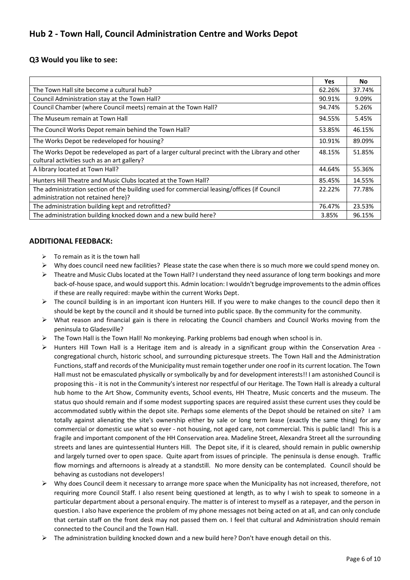# **Hub 2 - Town Hall, Council Administration Centre and Works Depot**

## **Q3 Would you like to see:**

|                                                                                                 | <b>Yes</b> | <b>No</b> |
|-------------------------------------------------------------------------------------------------|------------|-----------|
| The Town Hall site become a cultural hub?                                                       | 62.26%     | 37.74%    |
| Council Administration stay at the Town Hall?                                                   | 90.91%     | 9.09%     |
| Council Chamber (where Council meets) remain at the Town Hall?                                  | 94.74%     | 5.26%     |
| The Museum remain at Town Hall                                                                  | 94.55%     | 5.45%     |
| The Council Works Depot remain behind the Town Hall?                                            | 53.85%     | 46.15%    |
| The Works Depot be redeveloped for housing?                                                     | 10.91%     | 89.09%    |
| The Works Depot be redeveloped as part of a larger cultural precinct with the Library and other | 48.15%     | 51.85%    |
| cultural activities such as an art gallery?                                                     |            |           |
| A library located at Town Hall?                                                                 | 44.64%     | 55.36%    |
| Hunters Hill Theatre and Music Clubs located at the Town Hall?                                  | 85.45%     | 14.55%    |
| The administration section of the building used for commercial leasing/offices (if Council      | 22.22%     | 77.78%    |
| administration not retained here)?                                                              |            |           |
| The administration building kept and retrofitted?                                               | 76.47%     | 23.53%    |
| The administration building knocked down and a new build here?                                  | 3.85%      | 96.15%    |

### **ADDITIONAL FEEDBACK:**

- $\triangleright$  To remain as it is the town hall
- Why does council need new facilities? Please state the case when there is so much more we could spend money on.
- $\triangleright$  Theatre and Music Clubs located at the Town Hall? I understand they need assurance of long term bookings and more back-of-house space, and would support this. Admin location: I wouldn't begrudge improvements to the admin offices if these are really required: maybe within the current Works Dept.
- $\triangleright$  The council building is in an important icon Hunters Hill. If you were to make changes to the council depo then it should be kept by the council and it should be turned into public space. By the community for the community.
- What reason and financial gain is there in relocating the Council chambers and Council Works moving from the peninsula to Gladesville?
- $\triangleright$  The Town Hall is the Town Hall! No monkeying. Parking problems bad enough when school is in.
- $\triangleright$  Hunters Hill Town Hall is a Heritage item and is already in a significant group within the Conservation Area congregational church, historic school, and surrounding picturesque streets. The Town Hall and the Administration Functions, staff and records of the Municipality must remain together under one roof in its current location. The Town Hall must not be emasculated physically or symbolically by and for development interests!! I am astonished Council is proposing this - it is not in the Community's interest nor respectful of our Heritage. The Town Hall is already a cultural hub home to the Art Show, Community events, School events, HH Theatre, Music concerts and the museum. The status quo should remain and if some modest supporting spaces are required assist these current uses they could be accommodated subtly within the depot site. Perhaps some elements of the Depot should be retained on site? I am totally against alienating the site's ownership either by sale or long term lease (exactly the same thing) for any commercial or domestic use what so ever - not housing, not aged care, not commercial. This is public land! This is a fragile and important component of the HH Conservation area. Madeline Street, Alexandra Street all the surrounding streets and lanes are quintessential Hunters Hill. The Depot site, if it is cleared, should remain in public ownership and largely turned over to open space. Quite apart from issues of principle. The peninsula is dense enough. Traffic flow mornings and afternoons is already at a standstill. No more density can be contemplated. Council should be behaving as custodians not developers!
- $\triangleright$  Why does Council deem it necessary to arrange more space when the Municipality has not increased, therefore, not requiring more Council Staff. I also resent being questioned at length, as to why I wish to speak to someone in a particular department about a personal enquiry. The matter is of interest to myself as a ratepayer, and the person in question. I also have experience the problem of my phone messages not being acted on at all, and can only conclude that certain staff on the front desk may not passed them on. I feel that cultural and Administration should remain connected to the Council and the Town Hall.
- The administration building knocked down and a new build here? Don't have enough detail on this.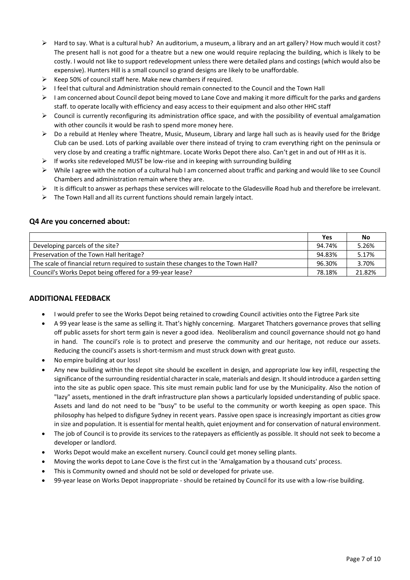- $\triangleright$  Hard to say. What is a cultural hub? An auditorium, a museum, a library and an art gallery? How much would it cost? The present hall is not good for a theatre but a new one would require replacing the building, which is likely to be costly. I would not like to support redevelopment unless there were detailed plans and costings (which would also be expensive). Hunters Hill is a small council so grand designs are likely to be unaffordable.
- $\triangleright$  Keep 50% of council staff here. Make new chambers if required.
- $\triangleright$  I feel that cultural and Administration should remain connected to the Council and the Town Hall
- $\triangleright$  I am concerned about Council depot being moved to Lane Cove and making it more difficult for the parks and gardens staff. to operate locally with efficiency and easy access to their equipment and also other HHC staff
- $\triangleright$  Council is currently reconfiguring its administration office space, and with the possibility of eventual amalgamation with other councils it would be rash to spend more money here.
- $\triangleright$  Do a rebuild at Henley where Theatre, Music, Museum, Library and large hall such as is heavily used for the Bridge Club can be used. Lots of parking available over there instead of trying to cram everything right on the peninsula or very close by and creating a traffic nightmare. Locate Works Depot there also. Can't get in and out of HH as it is.
- $\triangleright$  If works site redeveloped MUST be low-rise and in keeping with surrounding building
- $\triangleright$  While I agree with the notion of a cultural hub I am concerned about traffic and parking and would like to see Council Chambers and administration remain where they are.
- $\triangleright$  It is difficult to answer as perhaps these services will relocate to the Gladesville Road hub and therefore be irrelevant.
- $\triangleright$  The Town Hall and all its current functions should remain largely intact.

### **Q4 Are you concerned about:**

|                                                                                   | Yes    | No     |
|-----------------------------------------------------------------------------------|--------|--------|
| Developing parcels of the site?                                                   | 94.74% | 5.26%  |
| Preservation of the Town Hall heritage?                                           | 94.83% | 5.17%  |
| The scale of financial return required to sustain these changes to the Town Hall? | 96.30% | 3.70%  |
| Council's Works Depot being offered for a 99-year lease?                          | 78.18% | 21.82% |

### **ADDITIONAL FEEDBACK**

- I would prefer to see the Works Depot being retained to crowding Council activities onto the Figtree Park site
- A 99 year lease is the same as selling it. That's highly concerning. Margaret Thatchers governance proves that selling off public assets for short term gain is never a good idea. Neoliberalism and council governance should not go hand in hand. The council's role is to protect and preserve the community and our heritage, not reduce our assets. Reducing the council's assets is short-termism and must struck down with great gusto.
- No empire building at our loss!
- Any new building within the depot site should be excellent in design, and appropriate low key infill, respecting the significance of the surrounding residential character in scale, materials and design. It should introduce a garden setting into the site as public open space. This site must remain public land for use by the Municipality. Also the notion of "lazy" assets, mentioned in the draft infrastructure plan shows a particularly lopsided understanding of public space. Assets and land do not need to be "busy" to be useful to the community or worth keeping as open space. This philosophy has helped to disfigure Sydney in recent years. Passive open space is increasingly important as cities grow in size and population. It is essential for mental health, quiet enjoyment and for conservation of natural environment.
- The job of Council is to provide its services to the ratepayers as efficiently as possible. It should not seek to become a developer or landlord.
- Works Depot would make an excellent nursery. Council could get money selling plants.
- Moving the works depot to Lane Cove is the first cut in the 'Amalgamation by a thousand cuts' process.
- This is Community owned and should not be sold or developed for private use.
- 99-year lease on Works Depot inappropriate should be retained by Council for its use with a low-rise building.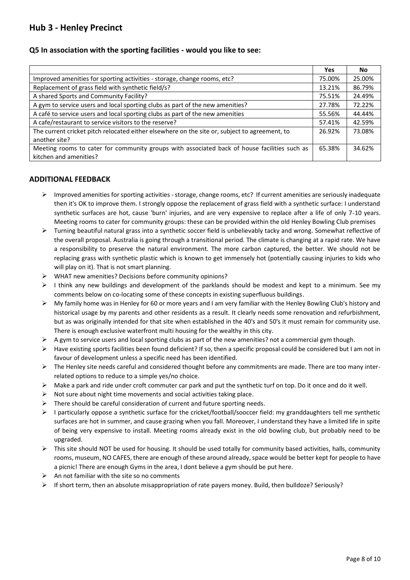# **Hub 3 - Henley Precinct**

### **Q5 In association with the sporting facilities - would you like to see:**

|                                                                                                                        | Yes.   | <b>No</b> |
|------------------------------------------------------------------------------------------------------------------------|--------|-----------|
| Improved amenities for sporting activities - storage, change rooms, etc?                                               | 75.00% | 25.00%    |
| Replacement of grass field with synthetic field/s?                                                                     | 13.21% | 86.79%    |
| A shared Sports and Community Facility?                                                                                | 75.51% | 24.49%    |
| A gym to service users and local sporting clubs as part of the new amenities?                                          | 27.78% | 72.22%    |
| A café to service users and local sporting clubs as part of the new amenities                                          | 55.56% | 44.44%    |
| A cafe/restaurant to service visitors to the reserve?                                                                  | 57.41% | 42.59%    |
| The current cricket pitch relocated either elsewhere on the site or, subject to agreement, to<br>another site?         | 26.92% | 73.08%    |
| Meeting rooms to cater for community groups with associated back of house facilities such as<br>kitchen and amenities? | 65.38% | 34.62%    |

### **ADDITIONAL FEEDBACK**

- $\triangleright$  Improved amenities for sporting activities storage, change rooms, etc? If current amenities are seriously inadequate then it's OK to improve them. I strongly oppose the replacement of grass field with a synthetic surface: I understand synthetic surfaces are hot, cause 'burn' injuries, and are very expensive to replace after a life of only 7-10 years. Meeting rooms to cater for community groups: these can be provided within the old Henley Bowling Club premises
- $\triangleright$  Turning beautiful natural grass into a synthetic soccer field is unbelievably tacky and wrong. Somewhat reflective of the overall proposal. Australia is going through a transitional period. The climate is changing at a rapid rate. We have a responsibility to preserve the natural environment. The more carbon captured, the better. We should not be replacing grass with synthetic plastic which is known to get immensely hot (potentially causing injuries to kids who will play on it). That is not smart planning.
- WHAT new amenities? Decisions before community opinions?
- $\triangleright$  I think any new buildings and development of the parklands should be modest and kept to a minimum. See my comments below on co-locating some of these concepts in existing superfluous buildings.
- $\triangleright$  My family home was in Henley for 60 or more years and I am very familiar with the Henley Bowling Club's history and historical usage by my parents and other residents as a result. It clearly needs some renovation and refurbishment, but as was originally intended for that site when established in the 40's and 50's it must remain for community use. There is enough exclusive waterfront multi housing for the wealthy in this city.
- $\triangleright$  A gym to service users and local sporting clubs as part of the new amenities? not a commercial gym though.
- $\triangleright$  Have existing sports facilities been found deficient? If so, then a specific proposal could be considered but I am not in favour of development unless a specific need has been identified.
- $\triangleright$  The Henley site needs careful and considered thought before any commitments are made. There are too many interrelated options to reduce to a simple yes/no choice.
- $\triangleright$  Make a park and ride under croft commuter car park and put the synthetic turf on top. Do it once and do it well.
- Not sure about night time movements and social activities taking place.
- $\triangleright$  There should be careful consideration of current and future sporting needs.
- $\triangleright$  I particularly oppose a synthetic surface for the cricket/football/sooccer field: my granddaughters tell me synthetic surfaces are hot in summer, and cause grazing when you fall. Moreover, I understand they have a limited life in spite of being very expensive to install. Meeting rooms already exist in the old bowling club, but probably need to be upgraded.
- $\triangleright$  This site should NOT be used for housing. It should be used totally for community based activities, halls, community rooms, museum, NO CAFES, there are enough of these around already, space would be better kept for people to have a picnic! There are enough Gyms in the area, I dont believe a gym should be put here.
- $\triangleright$  An not familiar with the site so no comments
- $\triangleright$  If short term, then an absolute misappropriation of rate payers money. Build, then bulldoze? Seriously?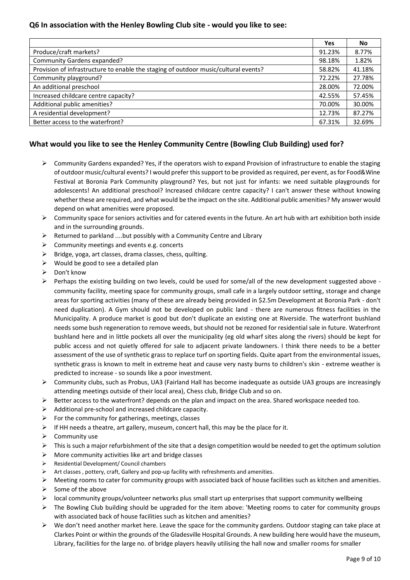## **Q6 In association with the Henley Bowling Club site - would you like to see:**

|                                                                                     | Yes    | No     |
|-------------------------------------------------------------------------------------|--------|--------|
| Produce/craft markets?                                                              | 91.23% | 8.77%  |
| Community Gardens expanded?                                                         | 98.18% | 1.82%  |
| Provision of infrastructure to enable the staging of outdoor music/cultural events? | 58.82% | 41.18% |
| Community playground?                                                               | 72.22% | 27.78% |
| An additional preschool                                                             | 28.00% | 72.00% |
| Increased childcare centre capacity?                                                | 42.55% | 57.45% |
| Additional public amenities?                                                        | 70.00% | 30.00% |
| A residential development?                                                          | 12.73% | 87.27% |
| Better access to the waterfront?                                                    | 67.31% | 32.69% |

# **What would you like to see the Henley Community Centre (Bowling Club Building) used for?**

- $\triangleright$  Community Gardens expanded? Yes, if the operators wish to expand Provision of infrastructure to enable the staging of outdoor music/cultural events? I would prefer this support to be provided as required, per event, as for Food&Wine Festival at Boronia Park Community playground? Yes, but not just for infants: we need suitable playgrounds for adolescents! An additional preschool? Increased childcare centre capacity? I can't answer these without knowing whether these are required, and what would be the impact on the site. Additional public amenities? My answer would depend on what amenities were proposed.
- Community space for seniors activities and for catered events in the future. An art hub with art exhibition both inside and in the surrounding grounds.
- $\triangleright$  Returned to parkland ....but possibly with a Community Centre and Library
- $\triangleright$  Community meetings and events e.g. concerts
- $\triangleright$  Bridge, yoga, art classes, drama classes, chess, quilting.
- $\triangleright$  Would be good to see a detailed plan
- $\triangleright$  Don't know
- Perhaps the existing building on two levels, could be used for some/all of the new development suggested above community facility, meeting space for community groups, small cafe in a largely outdoor setting, storage and change areas for sporting activities (many of these are already being provided in \$2.5m Development at Boronia Park - don't need duplication). A Gym should not be developed on public land - there are numerous fitness facilities in the Municipality. A produce market is good but don't duplicate an existing one at Riverside. The waterfront bushland needs some bush regeneration to remove weeds, but should not be rezoned for residential sale in future. Waterfront bushland here and in little pockets all over the municipality (eg old wharf sites along the rivers) should be kept for public access and not quietly offered for sale to adjacent private landowners. I think there needs to be a better assessment of the use of synthetic grass to replace turf on sporting fields. Quite apart from the environmental issues, synthetic grass is known to melt in extreme heat and cause very nasty burns to children's skin - extreme weather is predicted to increase - so sounds like a poor investment.
- Community clubs, such as Probus, UA3 (Fairland Hall has become inadequate as outside UA3 groups are increasingly attending meetings outside of their local area), Chess club, Bridge Club and so on.
- $\triangleright$  Better access to the waterfront? depends on the plan and impact on the area. Shared workspace needed too.
- $\triangleright$  Additional pre-school and increased childcare capacity.
- $\triangleright$  For the community for gatherings, meetings, classes
- $\triangleright$  If HH needs a theatre, art gallery, museum, concert hall, this may be the place for it.
- $\triangleright$  Community use
- $\triangleright$  This is such a major refurbishment of the site that a design competition would be needed to get the optimum solution
- $\triangleright$  More community activities like art and bridge classes
- $\triangleright$  Residential Development/ Council chambers
- $\triangleright$  Art classes, pottery, craft, Gallery and pop-up facility with refreshments and amenities.
- $\triangleright$  Meeting rooms to cater for community groups with associated back of house facilities such as kitchen and amenities.
- $\triangleright$  Some of the above
- local community groups/volunteer networks plus small start up enterprises that support community wellbeing
- The Bowling Club building should be upgraded for the item above: 'Meeting rooms to cater for community groups with associated back of house facilities such as kitchen and amenities?
- $\triangleright$  We don't need another market here. Leave the space for the community gardens. Outdoor staging can take place at Clarkes Point or within the grounds of the Gladesville Hospital Grounds. A new building here would have the museum, Library, facilities for the large no. of bridge players heavily utilising the hall now and smaller rooms for smaller